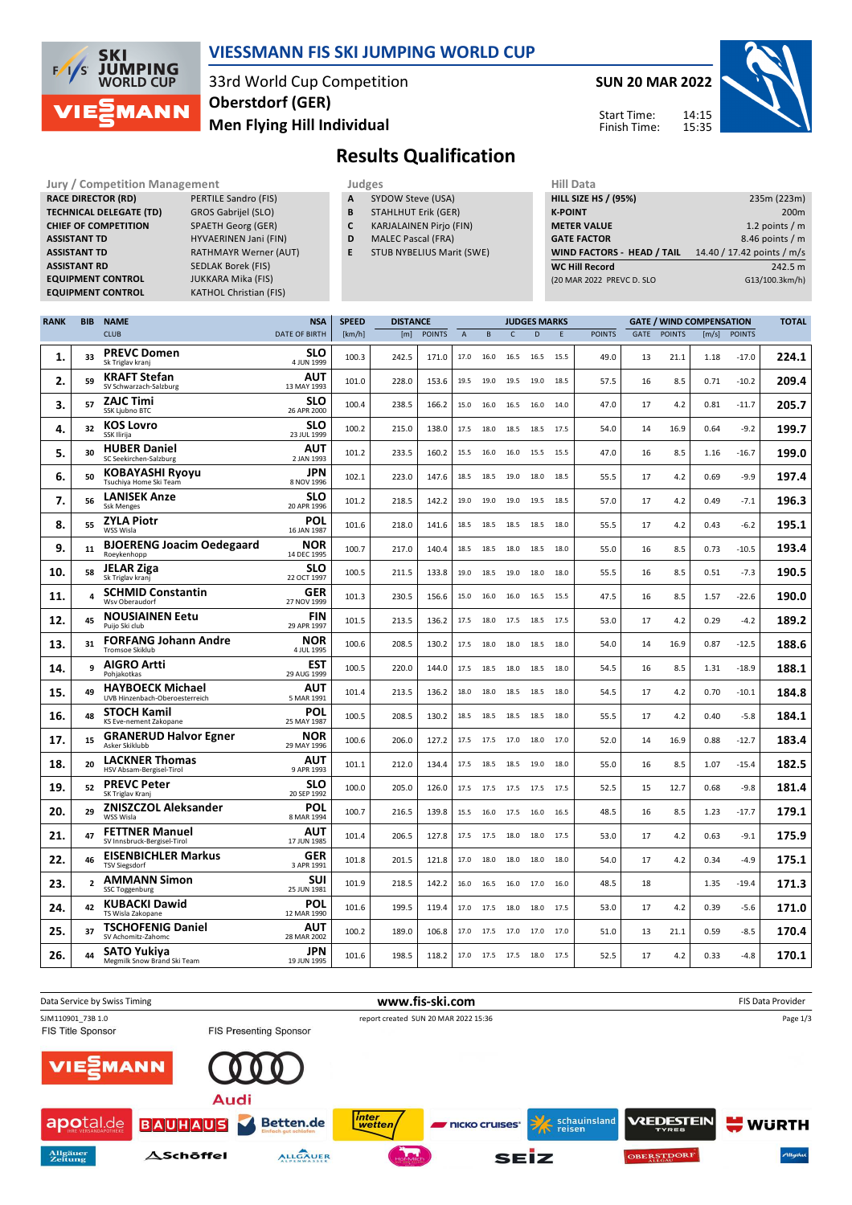

## **VIESSMANN FIS SKI JUMPING WORLD CUP**

33rd World Cup Competition **Men Flying Hill Individual Oberstdorf (GER)**

**SUN 20 MAR 2022**

14:15 15:35



Start Time: Finish Time:

# **Results Qualification**

**Jury / Competition Management Judges Hill Data**<br> **RACE DIRECTOR (RD)** PERTILE Sandro (FIS) **A** SYDOW Steve (USA) **HILL SIZE H RACE DIRECTOR (RD) TECHNICAL DELEGATE (TD)** GROS Gabrijel (SLO) **CHIEF OF COMPETITION** SPAETH Georg (GER) **ASSISTANT TD** HYVAERINEN Jani (FIN) **ASSISTANT TD** RATHMAYR Werner (AUT)<br> **ASSISTANT RD** SEDLAK Borek (FIS) **EQUIPMENT CONTROL** JUKKARA Mika (FIS)

**SEDLAK Borek (FIS) EQUIPMENT CONTROL** KATHOL Christian (FIS) **A** SYDOW Steve (USA)

- **B** STAHLHUT Erik (GER)
- **C** KARJALAINEN Pirjo (FIN)
- **D** MALEC Pascal (FRA)
- **E** STUB NYBELIUS Marit (SWE)

| <b>HILL SIZE HS / (95%)</b> | 235m (223m)                |
|-----------------------------|----------------------------|
| <b>K-POINT</b>              | 200 <sub>m</sub>           |
| <b>METER VALUE</b>          | 1.2 points $/m$            |
| <b>GATE FACTOR</b>          | 8.46 points / m            |
| WIND FACTORS - HEAD / TAIL  | 14.40 / 17.42 points / m/s |
| <b>WC Hill Record</b>       | 242.5 m                    |
| (20 MAR 2022 PREVC D. SLO   | G13/100.3km/h)             |
|                             |                            |

| <b>RANK</b> | BIB            | <b>NAME</b>                                               | <b>NSA</b>                | <b>SPEED</b> | <b>DISTANCE</b> |               |              |      |              | <b>JUDGES MARKS</b>      |      |               |      |               | <b>GATE / WIND COMPENSATION</b> |               |       |
|-------------|----------------|-----------------------------------------------------------|---------------------------|--------------|-----------------|---------------|--------------|------|--------------|--------------------------|------|---------------|------|---------------|---------------------------------|---------------|-------|
|             |                | <b>CLUB</b>                                               | <b>DATE OF BIRTH</b>      | [km/h]       | [m]             | <b>POINTS</b> | $\mathbf{A}$ | B    | $\mathsf{C}$ | D                        | E    | <b>POINTS</b> | GATE | <b>POINTS</b> | [m/s]                           | <b>POINTS</b> |       |
| 1.          | 33             | <b>PREVC Domen</b><br>Sk Triglav kranj                    | <b>SLO</b><br>4 JUN 1999  | 100.3        | 242.5           | 171.0         | 17.0         | 16.0 | 16.5         | 16.5                     | 15.5 | 49.0          | 13   | 21.1          | 1.18                            | $-17.0$       | 224.1 |
| 2.          | 59             | <b>KRAFT Stefan</b><br>SV Schwarzach-Salzburg             | AUT<br>13 MAY 1993        | 101.0        | 228.0           | 153.6         | 19.5         | 19.0 | 19.5 19.0    |                          | 18.5 | 57.5          | 16   | 8.5           | 0.71                            | $-10.2$       | 209.4 |
| З.          | 57             | <b>ZAJC Timi</b><br>SSK Ljubno BTC                        | SLO<br>26 APR 2000        | 100.4        | 238.5           | 166.2         | 15.0         | 16.0 | 16.5         | 16.0                     | 14.0 | 47.0          | 17   | 4.2           | 0.81                            | $-11.7$       | 205.7 |
| 4.          | 32             | <b>KOS Lovro</b><br><b>SSK Ilirija</b>                    | <b>SLO</b><br>23 JUL 1999 | 100.2        | 215.0           | 138.0         | 17.5         | 18.0 | 18.5         | 18.5                     | 17.5 | 54.0          | 14   | 16.9          | 0.64                            | $-9.2$        | 199.7 |
| 5.          | 30             | <b>HUBER Daniel</b><br>SC Seekirchen-Salzburg             | AUT<br>2 JAN 1993         | 101.2        | 233.5           | 160.2         | 15.5         | 16.0 | 16.0         | 15.5                     | 15.5 | 47.0          | 16   | 8.5           | 1.16                            | $-16.7$       | 199.0 |
| 6.          | 50             | KOBAYASHI Ryoyu<br>Tsuchiya Home Ski Team                 | JPN<br>8 NOV 1996         | 102.1        | 223.0           | 147.6         | 18.5         | 18.5 | 19.0         | 18.0                     | 18.5 | 55.5          | 17   | 4.2           | 0.69                            | $-9.9$        | 197.4 |
| 7.          | 56             | <b>LANISEK Anze</b><br><b>Ssk Menges</b>                  | <b>SLO</b><br>20 APR 1996 | 101.2        | 218.5           | 142.2         | 19.0         | 19.0 | 19.0         | 19.5                     | 18.5 | 57.0          | 17   | 4.2           | 0.49                            | $-7.1$        | 196.3 |
| 8.          | 55             | <b>ZYLA Piotr</b><br>WSS Wisla                            | POL<br>16 JAN 1987        | 101.6        | 218.0           | 141.6         | 18.5         | 18.5 | 18.5         | 18.5                     | 18.0 | 55.5          | 17   | 4.2           | 0.43                            | $-6.2$        | 195.1 |
| 9.          | 11             | <b>BJOERENG Joacim Oedegaard</b><br>Roeykenhopp           | <b>NOR</b><br>14 DEC 1995 | 100.7        | 217.0           | 140.4         | 18.5         | 18.5 | 18.0         | 18.5                     | 18.0 | 55.0          | 16   | 8.5           | 0.73                            | $-10.5$       | 193.4 |
| 10.         | 58             | <b>JELAR Ziga</b><br>Sk Triglav kranj                     | <b>SLO</b><br>22 OCT 1997 | 100.5        | 211.5           | 133.8         | 19.0         | 18.5 | 19.0         | 18.0                     | 18.0 | 55.5          | 16   | 8.5           | 0.51                            | $-7.3$        | 190.5 |
| 11.         | 4              | <b>SCHMID Constantin</b><br>Wsv Oberaudorf                | <b>GER</b><br>27 NOV 1999 | 101.3        | 230.5           | 156.6         | 15.0         | 16.0 | 16.0         | 16.5                     | 15.5 | 47.5          | 16   | 8.5           | 1.57                            | $-22.6$       | 190.0 |
| 12.         | 45             | <b>NOUSIAINEN Eetu</b><br>Puijo Ski club                  | FIN<br>29 APR 1997        | 101.5        | 213.5           | 136.2         | 17.5         | 18.0 | 17.5         | 18.5                     | 17.5 | 53.0          | 17   | 4.2           | 0.29                            | $-4.2$        | 189.2 |
| 13.         | 31             | <b>FORFANG Johann Andre</b><br><b>Tromsoe Skiklub</b>     | <b>NOR</b><br>4 JUL 1995  | 100.6        | 208.5           | 130.2         | 17.5         | 18.0 | 18.0         | 18.5                     | 18.0 | 54.0          | 14   | 16.9          | 0.87                            | $-12.5$       | 188.6 |
| 14.         | 9              | <b>AIGRO Artti</b><br>Pohjakotkas                         | EST<br>29 AUG 1999        | 100.5        | 220.0           | 144.0         | 17.5         | 18.5 | 18.0         | 18.5                     | 18.0 | 54.5          | 16   | 8.5           | 1.31                            | $-18.9$       | 188.1 |
| 15.         | 49             | <b>HAYBOECK Michael</b><br>UVB Hinzenbach-Oberoesterreich | AUT<br>5 MAR 1991         | 101.4        | 213.5           | 136.2         | 18.0         | 18.0 | 18.5         | 18.5                     | 18.0 | 54.5          | 17   | 4.2           | 0.70                            | $-10.1$       | 184.8 |
| 16.         | 48             | <b>STOCH Kamil</b><br>KS Eve-nement Zakopane              | POL<br>25 MAY 1987        | 100.5        | 208.5           | 130.2         | 18.5         | 18.5 | 18.5         | 18.5                     | 18.0 | 55.5          | 17   | 4.2           | 0.40                            | $-5.8$        | 184.1 |
| 17.         | 15             | <b>GRANERUD Halvor Egner</b><br>Asker Skiklubb            | <b>NOR</b><br>29 MAY 1996 | 100.6        | 206.0           | 127.2         | 17.5         | 17.5 | 17.0         | 18.0                     | 17.0 | 52.0          | 14   | 16.9          | 0.88                            | $-12.7$       | 183.4 |
| 18.         | 20             | <b>LACKNER Thomas</b><br>HSV Absam-Bergisel-Tirol         | AUT<br>9 APR 1993         | 101.1        | 212.0           | 134.4         | 17.5         | 18.5 | 18.5         | 19.0                     | 18.0 | 55.0          | 16   | 8.5           | 1.07                            | $-15.4$       | 182.5 |
| 19.         | 52             | <b>PREVC Peter</b><br>SK Triglav Kranj                    | SLO<br>20 SEP 1992        | 100.0        | 205.0           | 126.0         | 17.5         | 17.5 | 17.5         | 17.5                     | 17.5 | 52.5          | 15   | 12.7          | 0.68                            | $-9.8$        | 181.4 |
| 20.         | 29             | <b>ZNISZCZOL Aleksander</b><br>WSS Wisla                  | <b>POL</b><br>8 MAR 1994  | 100.7        | 216.5           | 139.8         | 15.5         | 16.0 | 17.5         | 16.0                     | 16.5 | 48.5          | 16   | 8.5           | 1.23                            | $-17.7$       | 179.1 |
| 21.         | 47             | <b>FETTNER Manuel</b><br>SV Innsbruck-Bergisel-Tirol      | AUT<br>17 JUN 1985        | 101.4        | 206.5           | 127.8         | 17.5         | 17.5 | 18.0         | 18.0                     | 17.5 | 53.0          | 17   | 4.2           | 0.63                            | $-9.1$        | 175.9 |
| 22.         | 46             | <b>EISENBICHLER Markus</b><br><b>TSV Siegsdorf</b>        | <b>GER</b><br>3 APR 1991  | 101.8        | 201.5           | 121.8         | 17.0         | 18.0 | 18.0         | 18.0                     | 18.0 | 54.0          | 17   | 4.2           | 0.34                            | $-4.9$        | 175.1 |
| 23.         | $\overline{2}$ | <b>AMMANN Simon</b><br>SSC Toggenburg                     | SUI<br>25 JUN 1981        | 101.9        | 218.5           | 142.2         | 16.0         | 16.5 | 16.0         | 17.0                     | 16.0 | 48.5          | 18   |               | 1.35                            | $-19.4$       | 171.3 |
| 24.         | 42             | <b>KUBACKI Dawid</b><br>TS Wisla Zakopane                 | POL<br>12 MAR 1990        | 101.6        | 199.5           | 119.4         | 17.0         | 17.5 | 18.0         | 18.0                     | 17.5 | 53.0          | 17   | 4.2           | 0.39                            | $-5.6$        | 171.0 |
| 25.         | 37             | <b>TSCHOFENIG Daniel</b><br>SV Achomitz-Zahomc            | AUT<br>28 MAR 2002        | 100.2        | 189.0           | 106.8         | 17.0         | 17.5 | 17.0         | 17.0                     | 17.0 | 51.0          | 13   | 21.1          | 0.59                            | $-8.5$        | 170.4 |
| 26.         | 44             | SATO Yukiya<br>Megmilk Snow Brand Ski Team                | JPN<br>19 JUN 1995        | 101.6        | 198.5           | 118.2         |              |      |              | 17.0 17.5 17.5 18.0 17.5 |      | 52.5          | 17   | 4.2           | 0.33                            | $-4.8$        | 170.1 |

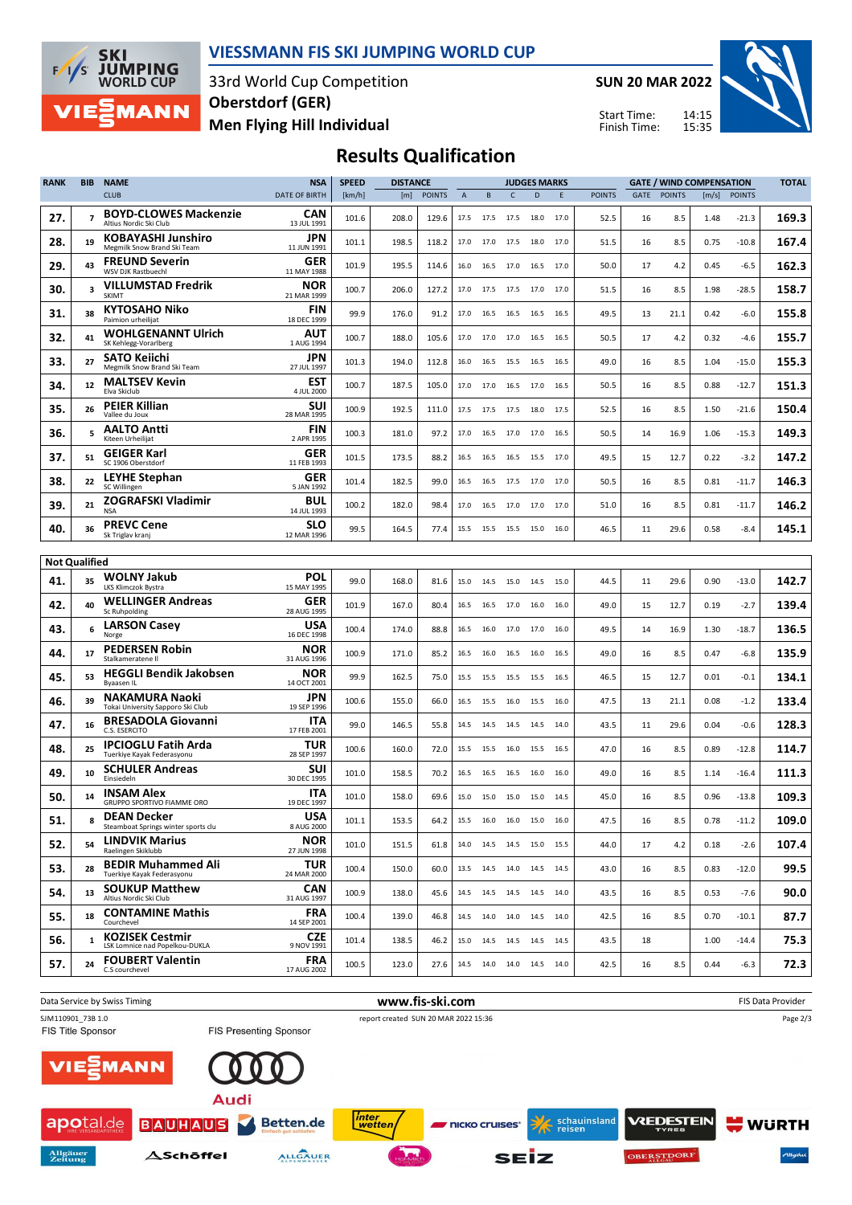

## **VIESSMANN FIS SKI JUMPING WORLD CUP**

33rd World Cup Competition **Men Flying Hill Individual Oberstdorf (GER)**

**SUN 20 MAR 2022**

Start Time: Finish Time:



# **Results Qualification**

| <b>RANK</b>          | <b>BIB</b>     | <b>NAME</b>                                                | <b>NSA</b>                | <b>SPEED</b> | <b>DISTANCE</b> |               |      |                |                | <b>JUDGES MARKS</b>          |        |               | <b>GATE / WIND COMPENSATION</b> |               |                       |               | <b>TOTAL</b> |
|----------------------|----------------|------------------------------------------------------------|---------------------------|--------------|-----------------|---------------|------|----------------|----------------|------------------------------|--------|---------------|---------------------------------|---------------|-----------------------|---------------|--------------|
|                      |                | <b>CLUB</b>                                                | <b>DATE OF BIRTH</b>      | [km/h]       | [m]             | <b>POINTS</b> | A    | B              | $\mathsf{C}$   | D                            | Ε      | <b>POINTS</b> | GATE                            | <b>POINTS</b> | $\lfloor m/s \rfloor$ | <b>POINTS</b> |              |
| 27.                  | $\overline{7}$ | <b>BOYD-CLOWES Mackenzie</b><br>Altius Nordic Ski Club     | CAN<br>13 JUL 1991        | 101.6        | 208.0           | 129.6         | 17.5 | 17.5           | 17.5           | 18.0                         | 17.0   | 52.5          | 16                              | 8.5           | 1.48                  | -21.3         | 169.3        |
| 28.                  | 19             | <b>KOBAYASHI Junshiro</b><br>Megmilk Snow Brand Ski Team   | JPN<br>11 JUN 1991        | 101.1        | 198.5           | 118.2         | 17.0 | 17.0           | 17.5           | 18.0                         | 17.0   | 51.5          | 16                              | 8.5           | 0.75                  | $-10.8$       | 167.4        |
| 29.                  | 43             | <b>FREUND Severin</b><br>WSV DJK Rastbuechl                | GER<br>11 MAY 1988        | 101.9        | 195.5           | 114.6         | 16.0 | 16.5           | 17.0           | 16.5                         | 17.0   | 50.0          | 17                              | 4.2           | 0.45                  | $-6.5$        | 162.3        |
| 30.                  | 3              | <b>VILLUMSTAD Fredrik</b><br>SKIMT                         | <b>NOR</b><br>21 MAR 1999 | 100.7        | 206.0           | 127.2         | 17.0 |                |                | 17.5 17.5 17.0 17.0          |        | 51.5          | 16                              | 8.5           | 1.98                  | $-28.5$       | 158.7        |
| 31.                  | 38             | <b>KYTOSAHO Niko</b><br>Paimion urheilijat                 | FIN<br>18 DEC 1999        | 99.9         | 176.0           | 91.2          | 17.0 | 16.5           | 16.5           | 16.5                         | 16.5   | 49.5          | 13                              | 21.1          | 0.42                  | $-6.0$        | 155.8        |
| 32.                  | 41             | <b>WOHLGENANNT Ulrich</b><br>SK Kehlegg-Vorarlberg         | AUT<br>1 AUG 1994         | 100.7        | 188.0           | 105.6         | 17.0 |                | 17.0 17.0      | 16.5                         | - 16.5 | 50.5          | 17                              | 4.2           | 0.32                  | $-4.6$        | 155.7        |
| 33.                  | 27             | <b>SATO Keiichi</b><br>Megmilk Snow Brand Ski Team         | JPN<br>27 JUL 1997        | 101.3        | 194.0           | 112.8         | 16.0 | 16.5           | 15.5           | 16.5                         | 16.5   | 49.0          | 16                              | 8.5           | 1.04                  | -15.0         | 155.3        |
| 34.                  | 12             | <b>MALTSEV Kevin</b><br>Elva Skiclub                       | <b>EST</b><br>4 JUL 2000  | 100.7        | 187.5           | 105.0         | 17.0 | 17.0           | 16.5           | 17.0                         | 16.5   | 50.5          | 16                              | 8.5           | 0.88                  | -12.7         | 151.3        |
| 35.                  | 26             | <b>PEIER Killian</b><br>Vallee du Joux                     | SUI<br>28 MAR 1995        | 100.9        | 192.5           | 111.0         | 17.5 | 17.5           |                | 17.5 18.0 17.5               |        | 52.5          | 16                              | 8.5           | 1.50                  | -21.6         | 150.4        |
| 36.                  | 5              | <b>AALTO Antti</b><br>Kiteen Urheilijat                    | FIN<br>2 APR 1995         | 100.3        | 181.0           | 97.2          | 17.0 | 16.5           | 17.0           | 17.0                         | 16.5   | 50.5          | 14                              | 16.9          | 1.06                  | $-15.3$       | 149.3        |
| 37.                  | 51             | <b>GEIGER Karl</b><br>SC 1906 Oberstdorf                   | <b>GER</b><br>11 FEB 1993 | 101.5        | 173.5           | 88.2          | 16.5 | 16.5           | 16.5           | 15.5                         | 17.0   | 49.5          | 15                              | 12.7          | 0.22                  | $-3.2$        | 147.2        |
| 38.                  | 22             | <b>LEYHE Stephan</b><br>SC Willingen                       | GER<br>5 JAN 1992         | 101.4        | 182.5           | 99.0          | 16.5 | 16.5           | 17.5           | 17.0                         | 17.0   | 50.5          | 16                              | 8.5           | 0.81                  | -11.7         | 146.3        |
| 39.                  | 21             | <b>ZOGRAFSKI Vladimir</b><br><b>NSA</b>                    | <b>BUL</b><br>14 JUL 1993 | 100.2        | 182.0           | 98.4          | 17.0 | 16.5           | 17.0           | 17.0                         | 17.0   | 51.0          | 16                              | 8.5           | 0.81                  | $-11.7$       | 146.2        |
| 40.                  | 36             | <b>PREVC Cene</b><br>Sk Triglav kranj                      | SLO<br>12 MAR 1996        | 99.5         | 164.5           | 77.4          | 15.5 | 15.5 15.5 15.0 |                |                              | 16.0   | 46.5          | 11                              | 29.6          | 0.58                  | $-8.4$        | 145.1        |
|                      |                |                                                            |                           |              |                 |               |      |                |                |                              |        |               |                                 |               |                       |               |              |
| <b>Not Qualified</b> |                | <b>WOLNY Jakub</b>                                         | POL                       |              |                 |               |      |                |                |                              |        |               |                                 |               |                       |               |              |
| 41.                  | 35             | LKS Klimczok Bystra                                        | 15 MAY 1995               | 99.0         | 168.0           | 81.6          | 15.0 |                | 14.5 15.0 14.5 |                              | 15.0   | 44.5          | 11                              | 29.6          | 0.90                  | $-13.0$       | 142.7        |
| 42.                  | 40             | <b>WELLINGER Andreas</b><br>Sc Ruhpolding                  | GER<br>28 AUG 1995        | 101.9        | 167.0           | 80.4          | 16.5 | 16.5           | 17.0           | 16.0                         | 16.0   | 49.0          | 15                              | 12.7          | 0.19                  | $-2.7$        | 139.4        |
| 43.                  | 6              | <b>LARSON Casey</b><br>Norge                               | <b>USA</b><br>16 DEC 1998 | 100.4        | 174.0           | 88.8          | 16.5 | 16.0           | 17.0           | 17.0                         | 16.0   | 49.5          | 14                              | 16.9          | 1.30                  | $-18.7$       | 136.5        |
| 44.                  | 17             | <b>PEDERSEN Robin</b><br>Stalkameratene II                 | <b>NOR</b><br>31 AUG 1996 | 100.9        | 171.0           | 85.2          | 16.5 | 16.0           | 16.5           | 16.0                         | 16.5   | 49.0          | 16                              | 8.5           | 0.47                  | $-6.8$        | 135.9        |
| 45.                  | 53             | <b>HEGGLI Bendik Jakobsen</b><br>Byaasen IL                | <b>NOR</b><br>14 OCT 2001 | 99.9         | 162.5           | 75.0          | 15.5 | 15.5           | 15.5           | 15.5                         | 16.5   | 46.5          | 15                              | 12.7          | 0.01                  | $-0.1$        | 134.1        |
| 46.                  | 39             | <b>NAKAMURA Naoki</b><br>Tokai University Sapporo Ski Club | JPN<br>19 SEP 1996        | 100.6        | 155.0           | 66.0          | 16.5 | 15.5           | 16.0           | 15.5                         | 16.0   | 47.5          | 13                              | 21.1          | 0.08                  | $-1.2$        | 133.4        |
| 47.                  | 16             | <b>BRESADOLA Giovanni</b><br>C.S. ESERCITO                 | ITA<br>17 FEB 2001        | 99.0         | 146.5           | 55.8          | 14.5 | 14.5           | 14.5           | 14.5                         | 14.0   | 43.5          | 11                              | 29.6          | 0.04                  | $-0.6$        | 128.3        |
| 48.                  | 25             | <b>IPCIOGLU Fatih Arda</b><br>Tuerkiye Kayak Federasyonu   | TUR<br>28 SEP 1997        | 100.6        | 160.0           | 72.0          | 15.5 | 15.5           | 16.0           | 15.5                         | 16.5   | 47.0          | 16                              | 8.5           | 0.89                  | $-12.8$       | 114.7        |
| 49.                  | 10             | <b>SCHULER Andreas</b><br>Einsiedeln                       | SUI<br>30 DEC 1995        | 101.0        | 158.5           | 70.2          | 16.5 | 16.5           | 16.5           | 16.0                         | 16.0   | 49.0          | 16                              | 8.5           | 1.14                  | $-16.4$       | 111.3        |
| 50.                  | 14             | <b>INSAM Alex</b><br>GRUPPO SPORTIVO FIAMME ORO            | ITA<br>19 DEC 1997        | 101.0        | 158.0           | 69.6          | 15.0 |                |                | 15.0 15.0 15.0 14.5          |        | 45.0          | 16                              | 8.5           | 0.96                  | $-13.8$       | 109.3        |
| 51.                  | 8              | <b>DEAN Decker</b><br>Steamboat Springs winter sports clu  | <b>USA</b><br>8 AUG 2000  | 101.1        | 153.5           | 64.2          |      |                |                | 15.5  16.0  16.0  15.0  16.0 |        | 47.5          | 16                              | 8.5           | 0.78                  | $-11.2$       | 109.0        |
| 52.                  | 54             | <b>LINDVIK Marius</b><br>Raelingen Skiklubb                | <b>NOR</b><br>27 JUN 1998 | 101.0        | 151.5           | 61.8          |      |                |                | 14.0  14.5  14.5  15.0  15.5 |        | 44.0          | 17                              | 4.2           | 0.18                  | $-2.6$        | 107.4        |
| 53.                  | 28             | <b>BEDIR Muhammed Ali</b><br>Tuerkiye Kayak Federasyonu    | <b>TUR</b><br>24 MAR 2000 | 100.4        | 150.0           | 60.0          |      |                |                | 13.5 14.5 14.0 14.5 14.5     |        | 43.0          | 16                              | 8.5           | 0.83                  | $-12.0$       | 99.5         |
| 54.                  | 13             | <b>SOUKUP Matthew</b><br>Altius Nordic Ski Club            | <b>CAN</b><br>31 AUG 1997 | 100.9        | 138.0           | 45.6          | 14.5 |                |                | 14.5 14.5 14.5 14.0          |        | 43.5          | 16                              | 8.5           | 0.53                  | $-7.6$        | 90.0         |
| 55.                  | 18             | <b>CONTAMINE Mathis</b><br>Courchevel                      | <b>FRA</b><br>14 SEP 2001 | 100.4        | 139.0           | 46.8          |      |                |                | 14.5 14.0 14.0 14.5 14.0     |        | 42.5          | 16                              | 8.5           | 0.70                  | $-10.1$       | 87.7         |
| 56.                  | $\mathbf{1}$   | <b>KOZISEK Cestmir</b><br>LSK Lomnice nad Popelkou-DUKLA   | <b>CZE</b><br>9 NOV 1991  | 101.4        | 138.5           | 46.2          |      |                |                | 15.0  14.5  14.5  14.5  14.5 |        | 43.5          | 18                              |               | 1.00                  | $-14.4$       | 75.3         |
| 57.                  | 24             | <b>FOUBERT Valentin</b><br>C.S courchevel                  | <b>FRA</b><br>17 AUG 2002 | 100.5        | 123.0           | 27.6          |      |                |                | 14.5 14.0 14.0 14.5 14.0     |        | 42.5          | 16                              | 8.5           | 0.44                  | $-6.3$        | 72.3         |
|                      |                |                                                            |                           |              |                 |               |      |                |                |                              |        |               |                                 |               |                       |               |              |